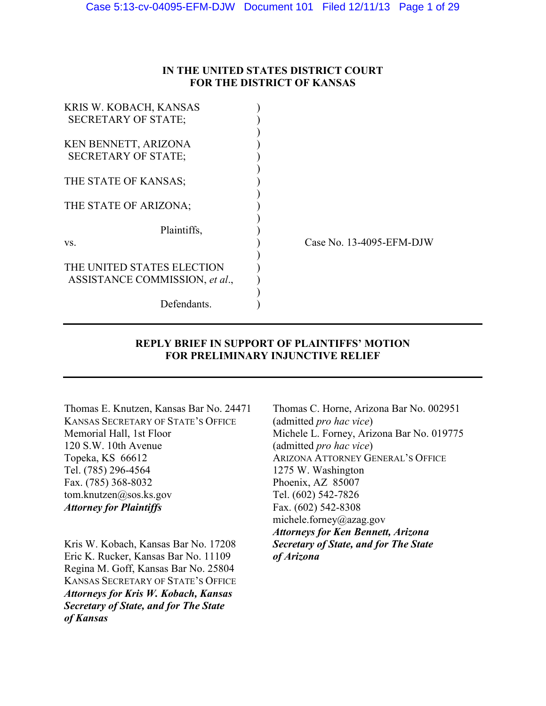# **IN THE UNITED STATES DISTRICT COURT FOR THE DISTRICT OF KANSAS**

| Case No. 13-4095-EFM-DJW |
|--------------------------|
|                          |
|                          |
|                          |
|                          |
|                          |
|                          |

# **REPLY BRIEF IN SUPPORT OF PLAINTIFFS' MOTION FOR PRELIMINARY INJUNCTIVE RELIEF**

KANSAS SECRETARY OF STATE'S OFFICE (admitted *pro hac vice*) 120 S.W. 10th Avenue (admitted *pro hac vice*) Topeka, KS 66612 ARIZONA ATTORNEY GENERAL'S OFFICE Tel. (785) 296-4564 1275 W. Washington Fax. (785) 368-8032 Phoenix, AZ 85007 tom.knutzen@sos.ks.gov Tel. (602) 542-7826 *Attorney for Plaintiffs* Fax. (602) 542-8308

Kris W. Kobach, Kansas Bar No. 17208 *Secretary of State, and for The State*  Eric K. Rucker, Kansas Bar No. 11109 *of Arizona*  Regina M. Goff, Kansas Bar No. 25804 KANSAS SECRETARY OF STATE'S OFFICE *Attorneys for Kris W. Kobach, Kansas Secretary of State, and for The State of Kansas* 

Thomas E. Knutzen, Kansas Bar No. 24471 Thomas C. Horne, Arizona Bar No. 002951 Memorial Hall, 1st Floor Michele L. Forney, Arizona Bar No. 019775 michele.forney@azag.gov *Attorneys for Ken Bennett, Arizona*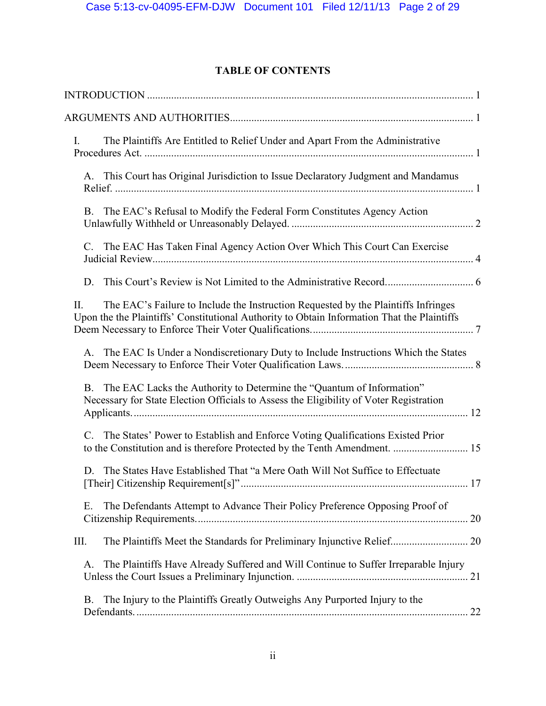# **TABLE OF CONTENTS**

| The Plaintiffs Are Entitled to Relief Under and Apart From the Administrative<br>$\mathbf{I}$ .                                                                                          |  |
|------------------------------------------------------------------------------------------------------------------------------------------------------------------------------------------|--|
| A. This Court has Original Jurisdiction to Issue Declaratory Judgment and Mandamus                                                                                                       |  |
| The EAC's Refusal to Modify the Federal Form Constitutes Agency Action<br><b>B.</b>                                                                                                      |  |
| C. The EAC Has Taken Final Agency Action Over Which This Court Can Exercise                                                                                                              |  |
| D.                                                                                                                                                                                       |  |
| The EAC's Failure to Include the Instruction Requested by the Plaintiffs Infringes<br>II.<br>Upon the the Plaintiffs' Constitutional Authority to Obtain Information That the Plaintiffs |  |
| A. The EAC Is Under a Nondiscretionary Duty to Include Instructions Which the States                                                                                                     |  |
| The EAC Lacks the Authority to Determine the "Quantum of Information"<br><b>B.</b><br>Necessary for State Election Officials to Assess the Eligibility of Voter Registration             |  |
| C. The States' Power to Establish and Enforce Voting Qualifications Existed Prior                                                                                                        |  |
| The States Have Established That "a Mere Oath Will Not Suffice to Effectuate<br>D.                                                                                                       |  |
| The Defendants Attempt to Advance Their Policy Preference Opposing Proof of<br>Е.                                                                                                        |  |
| The Plaintiffs Meet the Standards for Preliminary Injunctive Relief 20<br>III.                                                                                                           |  |
| The Plaintiffs Have Already Suffered and Will Continue to Suffer Irreparable Injury<br>A.                                                                                                |  |
| The Injury to the Plaintiffs Greatly Outweighs Any Purported Injury to the<br>B.<br>22                                                                                                   |  |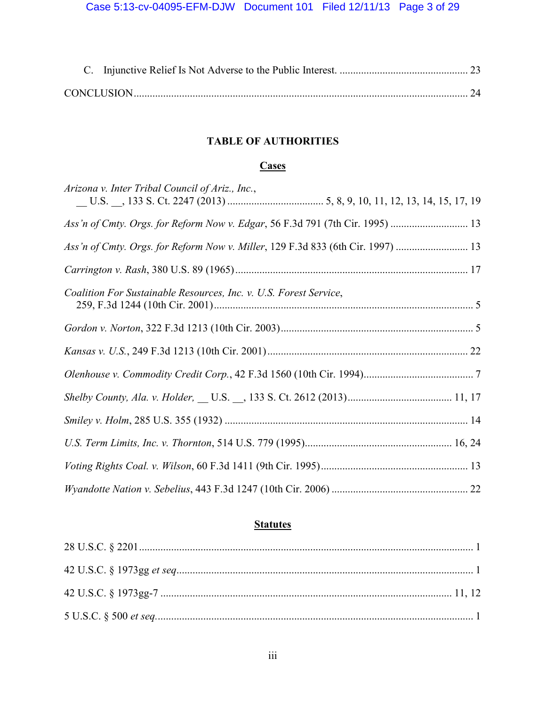# **TABLE OF AUTHORITIES**

# **Cases**

| Arizona v. Inter Tribal Council of Ariz., Inc.,                               |  |
|-------------------------------------------------------------------------------|--|
| Ass'n of Cmty. Orgs. for Reform Now v. Edgar, 56 F.3d 791 (7th Cir. 1995)  13 |  |
| Ass'n of Cmty. Orgs. for Reform Now v. Miller, 129 F.3d 833 (6th Cir. 1997)   |  |
|                                                                               |  |
| Coalition For Sustainable Resources, Inc. v. U.S. Forest Service,             |  |
|                                                                               |  |
|                                                                               |  |
|                                                                               |  |
|                                                                               |  |
|                                                                               |  |
|                                                                               |  |
|                                                                               |  |
|                                                                               |  |

# **Statutes**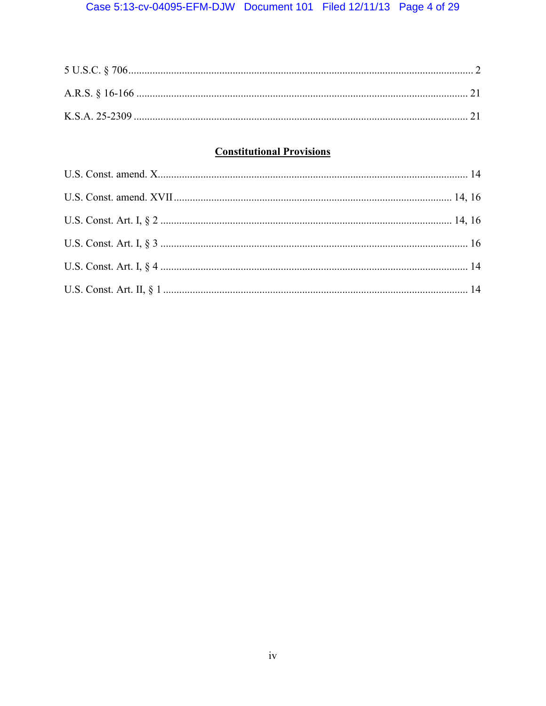# **Constitutional Provisions**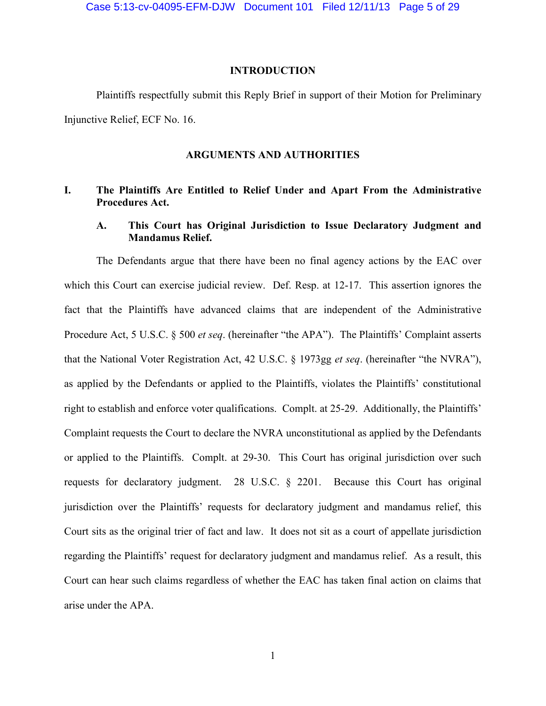### **INTRODUCTION**

Plaintiffs respectfully submit this Reply Brief in support of their Motion for Preliminary Injunctive Relief, ECF No. 16.

### **ARGUMENTS AND AUTHORITIES**

## **I. The Plaintiffs Are Entitled to Relief Under and Apart From the Administrative Procedures Act.**

# **A. This Court has Original Jurisdiction to Issue Declaratory Judgment and Mandamus Relief.**

 The Defendants argue that there have been no final agency actions by the EAC over which this Court can exercise judicial review. Def. Resp. at 12-17. This assertion ignores the fact that the Plaintiffs have advanced claims that are independent of the Administrative Procedure Act, 5 U.S.C. § 500 *et seq*. (hereinafter "the APA"). The Plaintiffs' Complaint asserts that the National Voter Registration Act, 42 U.S.C. § 1973gg *et seq*. (hereinafter "the NVRA"), as applied by the Defendants or applied to the Plaintiffs, violates the Plaintiffs' constitutional right to establish and enforce voter qualifications. Complt. at 25-29. Additionally, the Plaintiffs' Complaint requests the Court to declare the NVRA unconstitutional as applied by the Defendants or applied to the Plaintiffs. Complt. at 29-30. This Court has original jurisdiction over such requests for declaratory judgment. 28 U.S.C. § 2201. Because this Court has original jurisdiction over the Plaintiffs' requests for declaratory judgment and mandamus relief, this Court sits as the original trier of fact and law. It does not sit as a court of appellate jurisdiction regarding the Plaintiffs' request for declaratory judgment and mandamus relief. As a result, this Court can hear such claims regardless of whether the EAC has taken final action on claims that arise under the APA.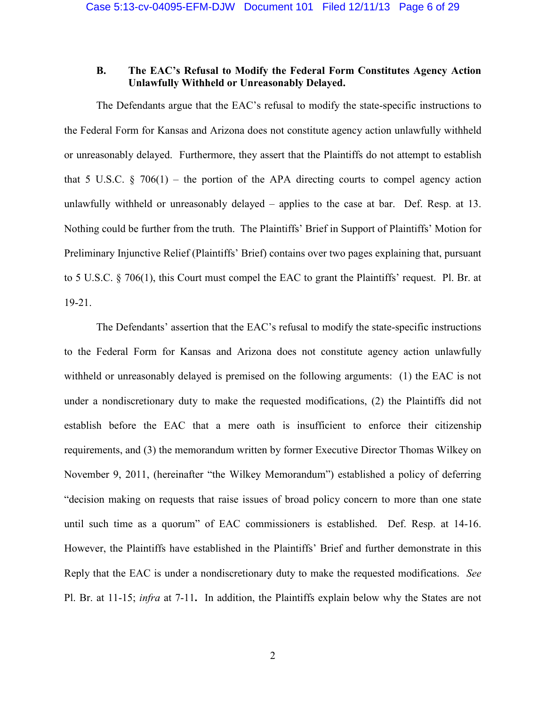# **B. The EAC's Refusal to Modify the Federal Form Constitutes Agency Action Unlawfully Withheld or Unreasonably Delayed.**

The Defendants argue that the EAC's refusal to modify the state-specific instructions to the Federal Form for Kansas and Arizona does not constitute agency action unlawfully withheld or unreasonably delayed. Furthermore, they assert that the Plaintiffs do not attempt to establish that 5 U.S.C.  $\S$  706(1) – the portion of the APA directing courts to compel agency action unlawfully withheld or unreasonably delayed – applies to the case at bar. Def. Resp. at 13. Nothing could be further from the truth. The Plaintiffs' Brief in Support of Plaintiffs' Motion for Preliminary Injunctive Relief (Plaintiffs' Brief) contains over two pages explaining that, pursuant to 5 U.S.C. § 706(1), this Court must compel the EAC to grant the Plaintiffs' request. Pl. Br. at 19-21.

 The Defendants' assertion that the EAC's refusal to modify the state-specific instructions to the Federal Form for Kansas and Arizona does not constitute agency action unlawfully withheld or unreasonably delayed is premised on the following arguments: (1) the EAC is not under a nondiscretionary duty to make the requested modifications, (2) the Plaintiffs did not establish before the EAC that a mere oath is insufficient to enforce their citizenship requirements, and (3) the memorandum written by former Executive Director Thomas Wilkey on November 9, 2011, (hereinafter "the Wilkey Memorandum") established a policy of deferring "decision making on requests that raise issues of broad policy concern to more than one state until such time as a quorum" of EAC commissioners is established. Def. Resp. at 14-16. However, the Plaintiffs have established in the Plaintiffs' Brief and further demonstrate in this Reply that the EAC is under a nondiscretionary duty to make the requested modifications. *See*  Pl. Br. at 11-15; *infra* at 7-11**.** In addition, the Plaintiffs explain below why the States are not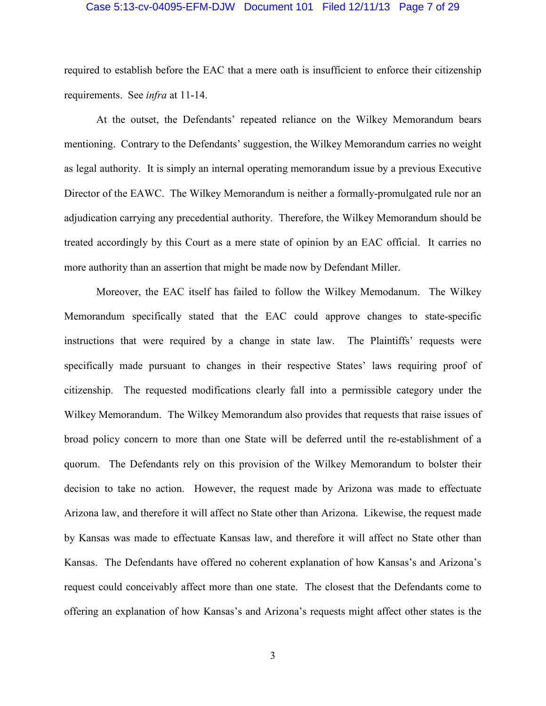#### Case 5:13-cv-04095-EFM-DJW Document 101 Filed 12/11/13 Page 7 of 29

required to establish before the EAC that a mere oath is insufficient to enforce their citizenship requirements. See *infra* at 11-14.

 At the outset, the Defendants' repeated reliance on the Wilkey Memorandum bears mentioning. Contrary to the Defendants' suggestion, the Wilkey Memorandum carries no weight as legal authority. It is simply an internal operating memorandum issue by a previous Executive Director of the EAWC. The Wilkey Memorandum is neither a formally-promulgated rule nor an adjudication carrying any precedential authority. Therefore, the Wilkey Memorandum should be treated accordingly by this Court as a mere state of opinion by an EAC official. It carries no more authority than an assertion that might be made now by Defendant Miller.

 Moreover, the EAC itself has failed to follow the Wilkey Memodanum. The Wilkey Memorandum specifically stated that the EAC could approve changes to state-specific instructions that were required by a change in state law. The Plaintiffs' requests were specifically made pursuant to changes in their respective States' laws requiring proof of citizenship. The requested modifications clearly fall into a permissible category under the Wilkey Memorandum. The Wilkey Memorandum also provides that requests that raise issues of broad policy concern to more than one State will be deferred until the re-establishment of a quorum. The Defendants rely on this provision of the Wilkey Memorandum to bolster their decision to take no action. However, the request made by Arizona was made to effectuate Arizona law, and therefore it will affect no State other than Arizona. Likewise, the request made by Kansas was made to effectuate Kansas law, and therefore it will affect no State other than Kansas. The Defendants have offered no coherent explanation of how Kansas's and Arizona's request could conceivably affect more than one state. The closest that the Defendants come to offering an explanation of how Kansas's and Arizona's requests might affect other states is the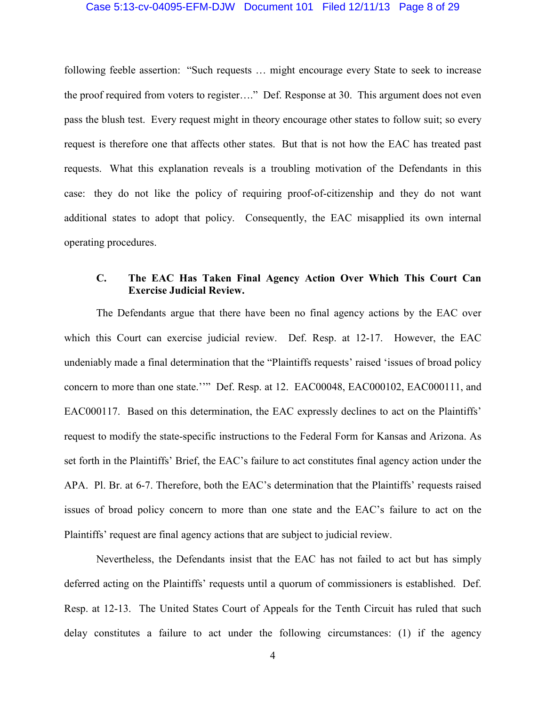### Case 5:13-cv-04095-EFM-DJW Document 101 Filed 12/11/13 Page 8 of 29

following feeble assertion: "Such requests … might encourage every State to seek to increase the proof required from voters to register…." Def. Response at 30. This argument does not even pass the blush test. Every request might in theory encourage other states to follow suit; so every request is therefore one that affects other states. But that is not how the EAC has treated past requests. What this explanation reveals is a troubling motivation of the Defendants in this case: they do not like the policy of requiring proof-of-citizenship and they do not want additional states to adopt that policy. Consequently, the EAC misapplied its own internal operating procedures.

# **C. The EAC Has Taken Final Agency Action Over Which This Court Can Exercise Judicial Review.**

 The Defendants argue that there have been no final agency actions by the EAC over which this Court can exercise judicial review. Def. Resp. at 12-17. However, the EAC undeniably made a final determination that the "Plaintiffs requests' raised 'issues of broad policy concern to more than one state.''" Def. Resp. at 12. EAC00048, EAC000102, EAC000111, and EAC000117. Based on this determination, the EAC expressly declines to act on the Plaintiffs' request to modify the state-specific instructions to the Federal Form for Kansas and Arizona. As set forth in the Plaintiffs' Brief, the EAC's failure to act constitutes final agency action under the APA. Pl. Br. at 6-7. Therefore, both the EAC's determination that the Plaintiffs' requests raised issues of broad policy concern to more than one state and the EAC's failure to act on the Plaintiffs' request are final agency actions that are subject to judicial review.

 Nevertheless, the Defendants insist that the EAC has not failed to act but has simply deferred acting on the Plaintiffs' requests until a quorum of commissioners is established. Def. Resp. at 12-13. The United States Court of Appeals for the Tenth Circuit has ruled that such delay constitutes a failure to act under the following circumstances: (1) if the agency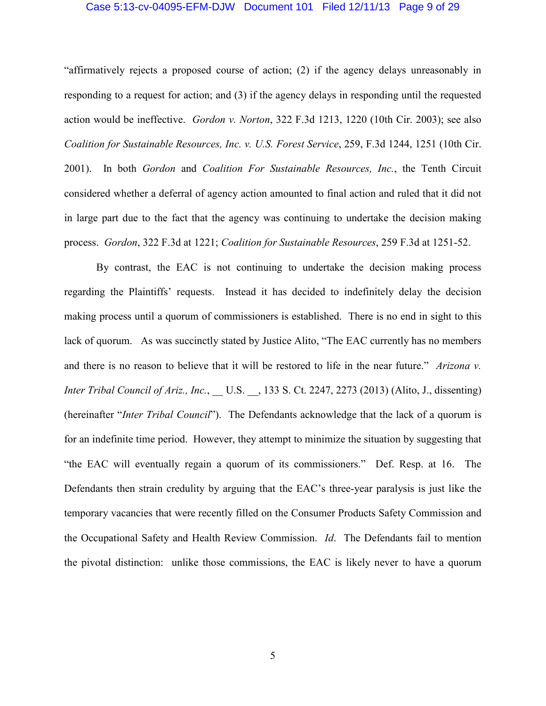### Case 5:13-cv-04095-EFM-DJW Document 101 Filed 12/11/13 Page 9 of 29

"affirmatively rejects a proposed course of action; (2) if the agency delays unreasonably in responding to a request for action; and (3) if the agency delays in responding until the requested action would be ineffective. *Gordon v. Norton*, 322 F.3d 1213, 1220 (10th Cir. 2003); see also *Coalition for Sustainable Resources, Inc. v. U.S. Forest Service*, 259, F.3d 1244, 1251 (10th Cir. 2001). In both *Gordon* and *Coalition For Sustainable Resources, Inc.*, the Tenth Circuit considered whether a deferral of agency action amounted to final action and ruled that it did not in large part due to the fact that the agency was continuing to undertake the decision making process. *Gordon*, 322 F.3d at 1221; *Coalition for Sustainable Resources*, 259 F.3d at 1251-52.

 By contrast, the EAC is not continuing to undertake the decision making process regarding the Plaintiffs' requests. Instead it has decided to indefinitely delay the decision making process until a quorum of commissioners is established. There is no end in sight to this lack of quorum. As was succinctly stated by Justice Alito, "The EAC currently has no members and there is no reason to believe that it will be restored to life in the near future." *Arizona v. Inter Tribal Council of Ariz., Inc.*, \_\_ U.S. \_\_, 133 S. Ct. 2247, 2273 (2013) (Alito, J., dissenting) (hereinafter "*Inter Tribal Council*"). The Defendants acknowledge that the lack of a quorum is for an indefinite time period. However, they attempt to minimize the situation by suggesting that "the EAC will eventually regain a quorum of its commissioners." Def. Resp. at 16. The Defendants then strain credulity by arguing that the EAC's three-year paralysis is just like the temporary vacancies that were recently filled on the Consumer Products Safety Commission and the Occupational Safety and Health Review Commission. *Id*. The Defendants fail to mention the pivotal distinction: unlike those commissions, the EAC is likely never to have a quorum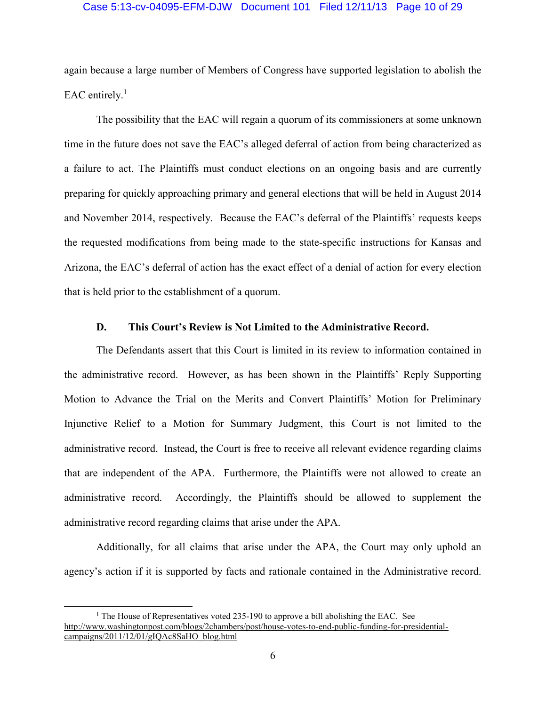### Case 5:13-cv-04095-EFM-DJW Document 101 Filed 12/11/13 Page 10 of 29

again because a large number of Members of Congress have supported legislation to abolish the EAC entirely. $<sup>1</sup>$ </sup>

 The possibility that the EAC will regain a quorum of its commissioners at some unknown time in the future does not save the EAC's alleged deferral of action from being characterized as a failure to act. The Plaintiffs must conduct elections on an ongoing basis and are currently preparing for quickly approaching primary and general elections that will be held in August 2014 and November 2014, respectively. Because the EAC's deferral of the Plaintiffs' requests keeps the requested modifications from being made to the state-specific instructions for Kansas and Arizona, the EAC's deferral of action has the exact effect of a denial of action for every election that is held prior to the establishment of a quorum.

## **D. This Court's Review is Not Limited to the Administrative Record.**

The Defendants assert that this Court is limited in its review to information contained in the administrative record. However, as has been shown in the Plaintiffs' Reply Supporting Motion to Advance the Trial on the Merits and Convert Plaintiffs' Motion for Preliminary Injunctive Relief to a Motion for Summary Judgment, this Court is not limited to the administrative record. Instead, the Court is free to receive all relevant evidence regarding claims that are independent of the APA. Furthermore, the Plaintiffs were not allowed to create an administrative record. Accordingly, the Plaintiffs should be allowed to supplement the administrative record regarding claims that arise under the APA.

Additionally, for all claims that arise under the APA, the Court may only uphold an agency's action if it is supported by facts and rationale contained in the Administrative record.

<sup>&</sup>lt;sup>1</sup> The House of Representatives voted 235-190 to approve a bill abolishing the EAC. See http://www.washingtonpost.com/blogs/2chambers/post/house-votes-to-end-public-funding-for-presidentialcampaigns/2011/12/01/gIQAc8SaHO\_blog.html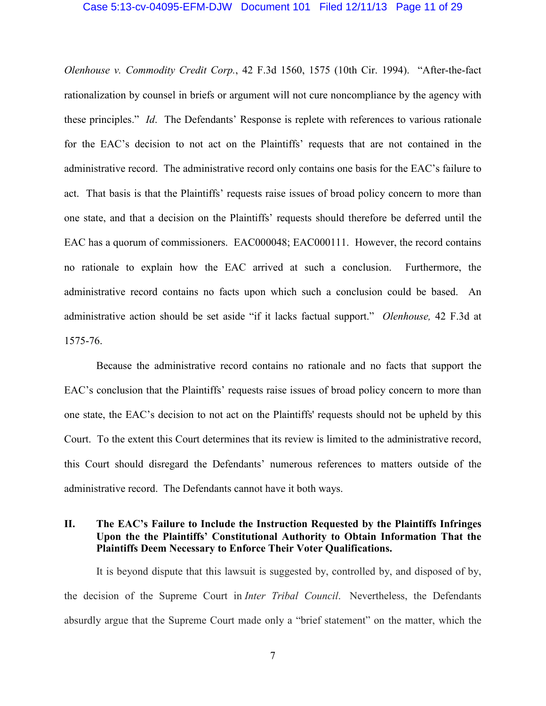#### Case 5:13-cv-04095-EFM-DJW Document 101 Filed 12/11/13 Page 11 of 29

*Olenhouse v. Commodity Credit Corp.*, 42 F.3d 1560, 1575 (10th Cir. 1994). "After-the-fact rationalization by counsel in briefs or argument will not cure noncompliance by the agency with these principles." *Id*. The Defendants' Response is replete with references to various rationale for the EAC's decision to not act on the Plaintiffs' requests that are not contained in the administrative record. The administrative record only contains one basis for the EAC's failure to act. That basis is that the Plaintiffs' requests raise issues of broad policy concern to more than one state, and that a decision on the Plaintiffs' requests should therefore be deferred until the EAC has a quorum of commissioners. EAC000048; EAC000111. However, the record contains no rationale to explain how the EAC arrived at such a conclusion. Furthermore, the administrative record contains no facts upon which such a conclusion could be based. An administrative action should be set aside "if it lacks factual support." *Olenhouse,* 42 F.3d at 1575-76.

Because the administrative record contains no rationale and no facts that support the EAC's conclusion that the Plaintiffs' requests raise issues of broad policy concern to more than one state, the EAC's decision to not act on the Plaintiffs' requests should not be upheld by this Court. To the extent this Court determines that its review is limited to the administrative record, this Court should disregard the Defendants' numerous references to matters outside of the administrative record. The Defendants cannot have it both ways.

# **II. The EAC's Failure to Include the Instruction Requested by the Plaintiffs Infringes Upon the the Plaintiffs' Constitutional Authority to Obtain Information That the Plaintiffs Deem Necessary to Enforce Their Voter Qualifications.**

It is beyond dispute that this lawsuit is suggested by, controlled by, and disposed of by, the decision of the Supreme Court in *Inter Tribal Council*. Nevertheless, the Defendants absurdly argue that the Supreme Court made only a "brief statement" on the matter, which the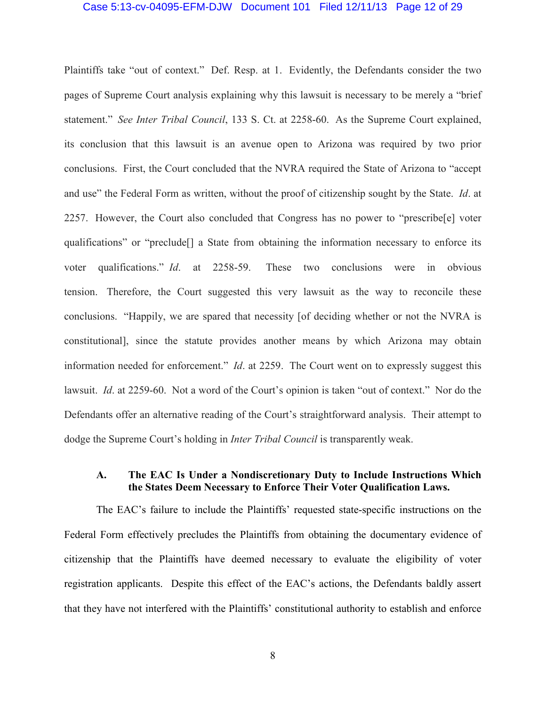### Case 5:13-cv-04095-EFM-DJW Document 101 Filed 12/11/13 Page 12 of 29

Plaintiffs take "out of context." Def. Resp. at 1. Evidently, the Defendants consider the two pages of Supreme Court analysis explaining why this lawsuit is necessary to be merely a "brief statement." *See Inter Tribal Council*, 133 S. Ct. at 2258-60. As the Supreme Court explained, its conclusion that this lawsuit is an avenue open to Arizona was required by two prior conclusions. First, the Court concluded that the NVRA required the State of Arizona to "accept and use" the Federal Form as written, without the proof of citizenship sought by the State. *Id*. at 2257. However, the Court also concluded that Congress has no power to "prescribe[e] voter qualifications" or "preclude[] a State from obtaining the information necessary to enforce its voter qualifications." *Id*. at 2258-59. These two conclusions were in obvious tension. Therefore, the Court suggested this very lawsuit as the way to reconcile these conclusions. "Happily, we are spared that necessity [of deciding whether or not the NVRA is constitutional], since the statute provides another means by which Arizona may obtain information needed for enforcement." *Id*. at 2259. The Court went on to expressly suggest this lawsuit. *Id*. at 2259-60. Not a word of the Court's opinion is taken "out of context." Nor do the Defendants offer an alternative reading of the Court's straightforward analysis. Their attempt to dodge the Supreme Court's holding in *Inter Tribal Council* is transparently weak.

## **A. The EAC Is Under a Nondiscretionary Duty to Include Instructions Which the States Deem Necessary to Enforce Their Voter Qualification Laws.**

The EAC's failure to include the Plaintiffs' requested state-specific instructions on the Federal Form effectively precludes the Plaintiffs from obtaining the documentary evidence of citizenship that the Plaintiffs have deemed necessary to evaluate the eligibility of voter registration applicants. Despite this effect of the EAC's actions, the Defendants baldly assert that they have not interfered with the Plaintiffs' constitutional authority to establish and enforce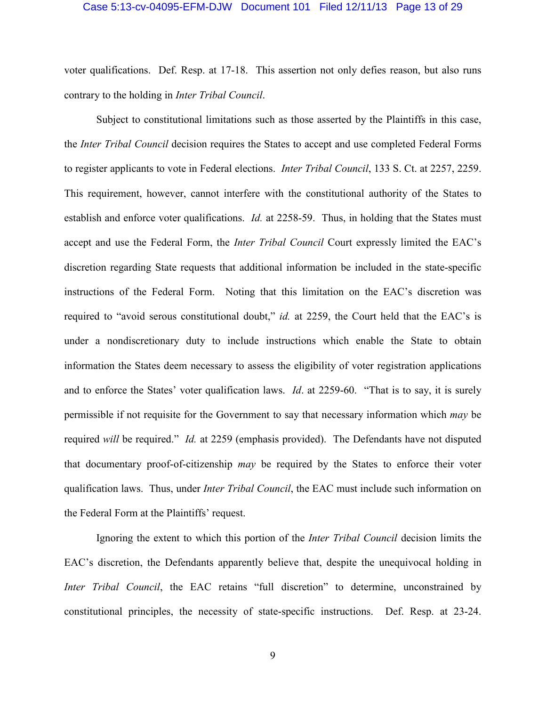#### Case 5:13-cv-04095-EFM-DJW Document 101 Filed 12/11/13 Page 13 of 29

voter qualifications. Def. Resp. at 17-18. This assertion not only defies reason, but also runs contrary to the holding in *Inter Tribal Council*.

Subject to constitutional limitations such as those asserted by the Plaintiffs in this case, the *Inter Tribal Council* decision requires the States to accept and use completed Federal Forms to register applicants to vote in Federal elections. *Inter Tribal Council*, 133 S. Ct. at 2257, 2259. This requirement, however, cannot interfere with the constitutional authority of the States to establish and enforce voter qualifications. *Id.* at 2258-59. Thus, in holding that the States must accept and use the Federal Form, the *Inter Tribal Council* Court expressly limited the EAC's discretion regarding State requests that additional information be included in the state-specific instructions of the Federal Form. Noting that this limitation on the EAC's discretion was required to "avoid serous constitutional doubt," *id.* at 2259, the Court held that the EAC's is under a nondiscretionary duty to include instructions which enable the State to obtain information the States deem necessary to assess the eligibility of voter registration applications and to enforce the States' voter qualification laws. *Id*. at 2259-60. "That is to say, it is surely permissible if not requisite for the Government to say that necessary information which *may* be required *will* be required." *Id.* at 2259 (emphasis provided). The Defendants have not disputed that documentary proof-of-citizenship *may* be required by the States to enforce their voter qualification laws. Thus, under *Inter Tribal Council*, the EAC must include such information on the Federal Form at the Plaintiffs' request.

Ignoring the extent to which this portion of the *Inter Tribal Council* decision limits the EAC's discretion, the Defendants apparently believe that, despite the unequivocal holding in *Inter Tribal Council*, the EAC retains "full discretion" to determine, unconstrained by constitutional principles, the necessity of state-specific instructions. Def. Resp. at 23-24.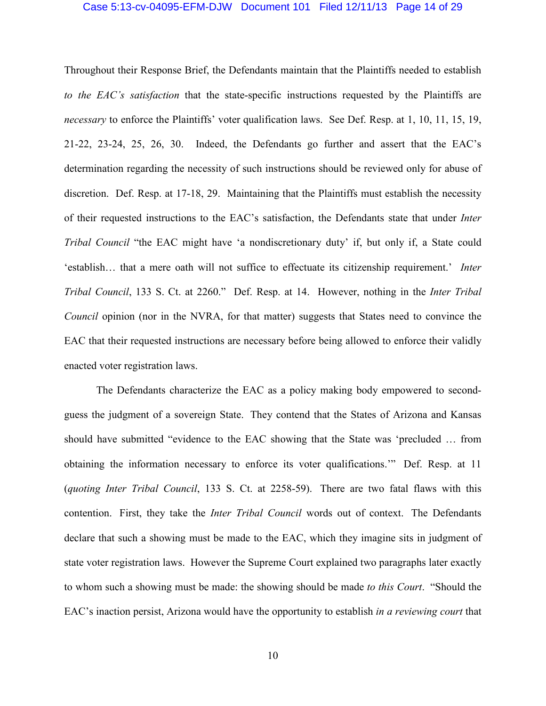### Case 5:13-cv-04095-EFM-DJW Document 101 Filed 12/11/13 Page 14 of 29

Throughout their Response Brief, the Defendants maintain that the Plaintiffs needed to establish *to the EAC's satisfaction* that the state-specific instructions requested by the Plaintiffs are *necessary* to enforce the Plaintiffs' voter qualification laws. See Def. Resp. at 1, 10, 11, 15, 19, 21-22, 23-24, 25, 26, 30. Indeed, the Defendants go further and assert that the EAC's determination regarding the necessity of such instructions should be reviewed only for abuse of discretion. Def. Resp. at 17-18, 29. Maintaining that the Plaintiffs must establish the necessity of their requested instructions to the EAC's satisfaction, the Defendants state that under *Inter Tribal Council* "the EAC might have 'a nondiscretionary duty' if, but only if, a State could 'establish… that a mere oath will not suffice to effectuate its citizenship requirement.' *Inter Tribal Council*, 133 S. Ct. at 2260." Def. Resp. at 14. However, nothing in the *Inter Tribal Council* opinion (nor in the NVRA, for that matter) suggests that States need to convince the EAC that their requested instructions are necessary before being allowed to enforce their validly enacted voter registration laws.

The Defendants characterize the EAC as a policy making body empowered to secondguess the judgment of a sovereign State. They contend that the States of Arizona and Kansas should have submitted "evidence to the EAC showing that the State was 'precluded … from obtaining the information necessary to enforce its voter qualifications.'" Def. Resp. at 11 (*quoting Inter Tribal Council*, 133 S. Ct. at 2258-59). There are two fatal flaws with this contention. First, they take the *Inter Tribal Council* words out of context. The Defendants declare that such a showing must be made to the EAC, which they imagine sits in judgment of state voter registration laws. However the Supreme Court explained two paragraphs later exactly to whom such a showing must be made: the showing should be made *to this Court*. "Should the EAC's inaction persist, Arizona would have the opportunity to establish *in a reviewing court* that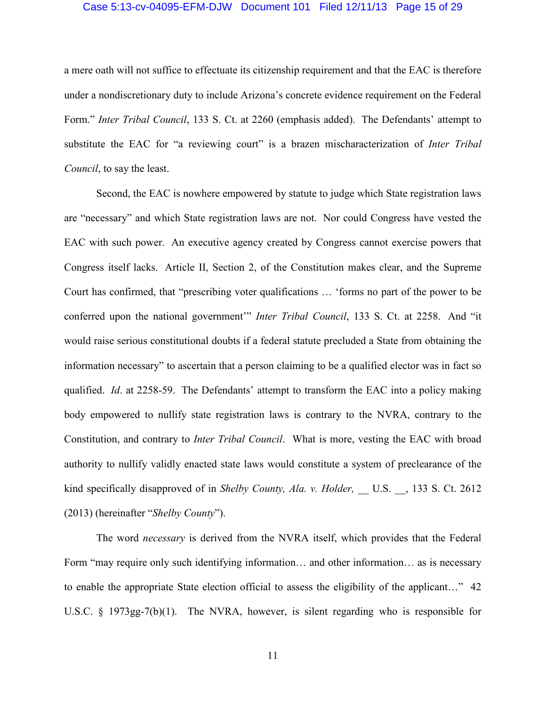### Case 5:13-cv-04095-EFM-DJW Document 101 Filed 12/11/13 Page 15 of 29

a mere oath will not suffice to effectuate its citizenship requirement and that the EAC is therefore under a nondiscretionary duty to include Arizona's concrete evidence requirement on the Federal Form." *Inter Tribal Council*, 133 S. Ct. at 2260 (emphasis added). The Defendants' attempt to substitute the EAC for "a reviewing court" is a brazen mischaracterization of *Inter Tribal Council*, to say the least.

Second, the EAC is nowhere empowered by statute to judge which State registration laws are "necessary" and which State registration laws are not. Nor could Congress have vested the EAC with such power. An executive agency created by Congress cannot exercise powers that Congress itself lacks. Article II, Section 2, of the Constitution makes clear, and the Supreme Court has confirmed, that "prescribing voter qualifications … 'forms no part of the power to be conferred upon the national government'" *Inter Tribal Council*, 133 S. Ct. at 2258. And "it would raise serious constitutional doubts if a federal statute precluded a State from obtaining the information necessary" to ascertain that a person claiming to be a qualified elector was in fact so qualified. *Id*. at 2258-59. The Defendants' attempt to transform the EAC into a policy making body empowered to nullify state registration laws is contrary to the NVRA, contrary to the Constitution, and contrary to *Inter Tribal Council*. What is more, vesting the EAC with broad authority to nullify validly enacted state laws would constitute a system of preclearance of the kind specifically disapproved of in *Shelby County, Ala. v. Holder,* U.S. , 133 S. Ct. 2612 (2013) (hereinafter "*Shelby County*").

The word *necessary* is derived from the NVRA itself, which provides that the Federal Form "may require only such identifying information… and other information… as is necessary to enable the appropriate State election official to assess the eligibility of the applicant…" 42 U.S.C. § 1973gg-7(b)(1). The NVRA, however, is silent regarding who is responsible for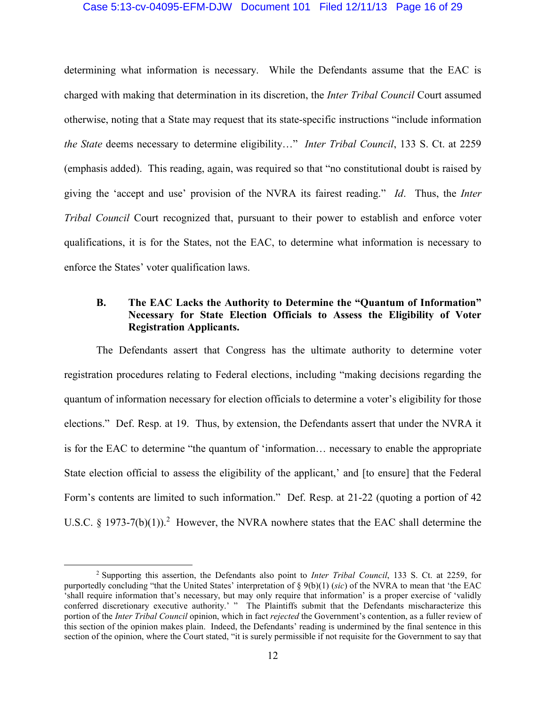### Case 5:13-cv-04095-EFM-DJW Document 101 Filed 12/11/13 Page 16 of 29

determining what information is necessary. While the Defendants assume that the EAC is charged with making that determination in its discretion, the *Inter Tribal Council* Court assumed otherwise, noting that a State may request that its state-specific instructions "include information *the State* deems necessary to determine eligibility…" *Inter Tribal Council*, 133 S. Ct. at 2259 (emphasis added). This reading, again, was required so that "no constitutional doubt is raised by giving the 'accept and use' provision of the NVRA its fairest reading." *Id*. Thus, the *Inter Tribal Council* Court recognized that, pursuant to their power to establish and enforce voter qualifications, it is for the States, not the EAC, to determine what information is necessary to enforce the States' voter qualification laws.

# **B. The EAC Lacks the Authority to Determine the "Quantum of Information" Necessary for State Election Officials to Assess the Eligibility of Voter Registration Applicants.**

The Defendants assert that Congress has the ultimate authority to determine voter registration procedures relating to Federal elections, including "making decisions regarding the quantum of information necessary for election officials to determine a voter's eligibility for those elections." Def. Resp. at 19. Thus, by extension, the Defendants assert that under the NVRA it is for the EAC to determine "the quantum of 'information… necessary to enable the appropriate State election official to assess the eligibility of the applicant,' and [to ensure] that the Federal Form's contents are limited to such information." Def. Resp. at 21-22 (quoting a portion of 42 U.S.C. § 1973-7(b)(1)).<sup>2</sup> However, the NVRA nowhere states that the EAC shall determine the

<sup>2</sup> Supporting this assertion, the Defendants also point to *Inter Tribal Council*, 133 S. Ct. at 2259, for purportedly concluding "that the United States' interpretation of § 9(b)(1) (*sic*) of the NVRA to mean that 'the EAC 'shall require information that's necessary, but may only require that information' is a proper exercise of 'validly conferred discretionary executive authority.' " The Plaintiffs submit that the Defendants mischaracterize this portion of the *Inter Tribal Council* opinion, which in fact *rejected* the Government's contention, as a fuller review of this section of the opinion makes plain. Indeed, the Defendants' reading is undermined by the final sentence in this section of the opinion, where the Court stated, "it is surely permissible if not requisite for the Government to say that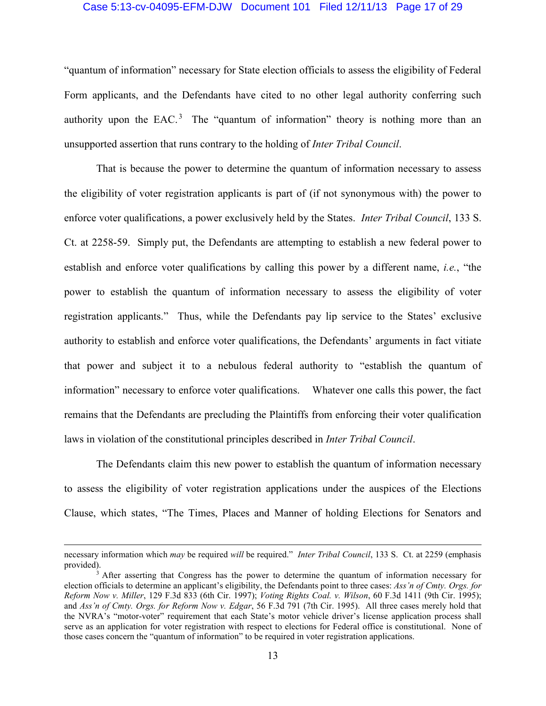### Case 5:13-cv-04095-EFM-DJW Document 101 Filed 12/11/13 Page 17 of 29

"quantum of information" necessary for State election officials to assess the eligibility of Federal Form applicants, and the Defendants have cited to no other legal authority conferring such authority upon the EAC.<sup>3</sup> The "quantum of information" theory is nothing more than an unsupported assertion that runs contrary to the holding of *Inter Tribal Council*.

That is because the power to determine the quantum of information necessary to assess the eligibility of voter registration applicants is part of (if not synonymous with) the power to enforce voter qualifications, a power exclusively held by the States. *Inter Tribal Council*, 133 S. Ct. at 2258-59. Simply put, the Defendants are attempting to establish a new federal power to establish and enforce voter qualifications by calling this power by a different name, *i.e.*, "the power to establish the quantum of information necessary to assess the eligibility of voter registration applicants." Thus, while the Defendants pay lip service to the States' exclusive authority to establish and enforce voter qualifications, the Defendants' arguments in fact vitiate that power and subject it to a nebulous federal authority to "establish the quantum of information" necessary to enforce voter qualifications. Whatever one calls this power, the fact remains that the Defendants are precluding the Plaintiffs from enforcing their voter qualification laws in violation of the constitutional principles described in *Inter Tribal Council*.

The Defendants claim this new power to establish the quantum of information necessary to assess the eligibility of voter registration applications under the auspices of the Elections Clause, which states, "The Times, Places and Manner of holding Elections for Senators and

necessary information which *may* be required *will* be required." *Inter Tribal Council*, 133 S. Ct. at 2259 (emphasis provided).

<sup>&</sup>lt;sup>3</sup> After asserting that Congress has the power to determine the quantum of information necessary for election officials to determine an applicant's eligibility, the Defendants point to three cases: *Ass'n of Cmty. Orgs. for Reform Now v. Miller*, 129 F.3d 833 (6th Cir. 1997); *Voting Rights Coal. v. Wilson*, 60 F.3d 1411 (9th Cir. 1995); and *Ass'n of Cmty. Orgs. for Reform Now v. Edgar*, 56 F.3d 791 (7th Cir. 1995). All three cases merely hold that the NVRA's "motor-voter" requirement that each State's motor vehicle driver's license application process shall serve as an application for voter registration with respect to elections for Federal office is constitutional. None of those cases concern the "quantum of information" to be required in voter registration applications.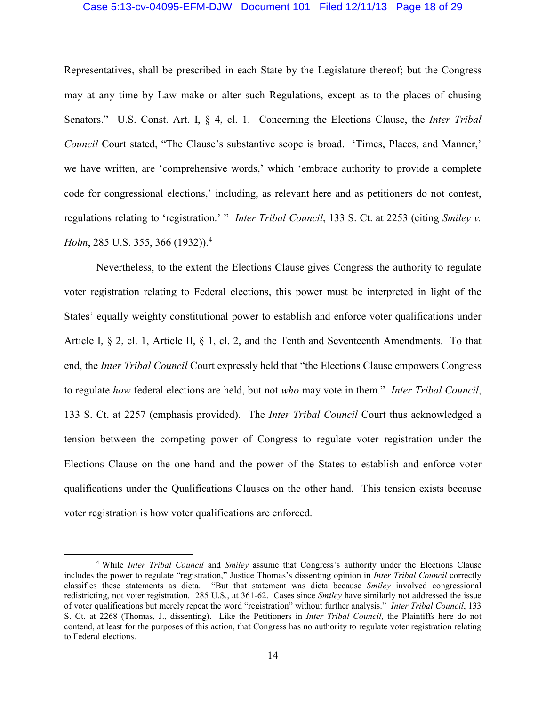### Case 5:13-cv-04095-EFM-DJW Document 101 Filed 12/11/13 Page 18 of 29

Representatives, shall be prescribed in each State by the Legislature thereof; but the Congress may at any time by Law make or alter such Regulations, except as to the places of chusing Senators." U.S. Const. Art. I, § 4, cl. 1. Concerning the Elections Clause, the *Inter Tribal Council* Court stated, "The Clause's substantive scope is broad. 'Times, Places, and Manner,' we have written, are 'comprehensive words,' which 'embrace authority to provide a complete code for congressional elections,' including, as relevant here and as petitioners do not contest, regulations relating to 'registration.' " *Inter Tribal Council*, 133 S. Ct. at 2253 (citing *Smiley v. Holm*, 285 U.S. 355, 366 (1932)).<sup>4</sup>

Nevertheless, to the extent the Elections Clause gives Congress the authority to regulate voter registration relating to Federal elections, this power must be interpreted in light of the States' equally weighty constitutional power to establish and enforce voter qualifications under Article I, § 2, cl. 1, Article II, § 1, cl. 2, and the Tenth and Seventeenth Amendments. To that end, the *Inter Tribal Council* Court expressly held that "the Elections Clause empowers Congress to regulate *how* federal elections are held, but not *who* may vote in them." *Inter Tribal Council*, 133 S. Ct. at 2257 (emphasis provided). The *Inter Tribal Council* Court thus acknowledged a tension between the competing power of Congress to regulate voter registration under the Elections Clause on the one hand and the power of the States to establish and enforce voter qualifications under the Qualifications Clauses on the other hand. This tension exists because voter registration is how voter qualifications are enforced.

<sup>4</sup> While *Inter Tribal Council* and *Smiley* assume that Congress's authority under the Elections Clause includes the power to regulate "registration," Justice Thomas's dissenting opinion in *Inter Tribal Council* correctly classifies these statements as dicta. "But that statement was dicta because *Smiley* involved congressional redistricting, not voter registration. 285 U.S., at 361-62. Cases since *Smiley* have similarly not addressed the issue of voter qualifications but merely repeat the word "registration" without further analysis." *Inter Tribal Council*, 133 S. Ct. at 2268 (Thomas, J., dissenting). Like the Petitioners in *Inter Tribal Council*, the Plaintiffs here do not contend, at least for the purposes of this action, that Congress has no authority to regulate voter registration relating to Federal elections.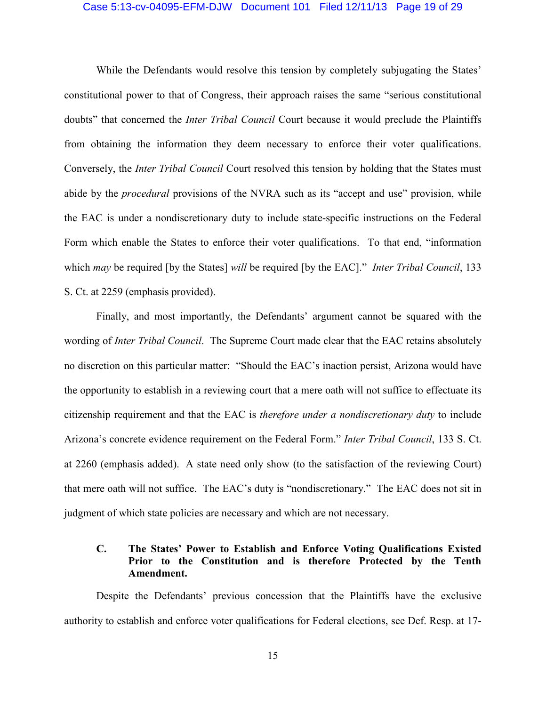### Case 5:13-cv-04095-EFM-DJW Document 101 Filed 12/11/13 Page 19 of 29

While the Defendants would resolve this tension by completely subjugating the States' constitutional power to that of Congress, their approach raises the same "serious constitutional doubts" that concerned the *Inter Tribal Council* Court because it would preclude the Plaintiffs from obtaining the information they deem necessary to enforce their voter qualifications. Conversely, the *Inter Tribal Council* Court resolved this tension by holding that the States must abide by the *procedural* provisions of the NVRA such as its "accept and use" provision, while the EAC is under a nondiscretionary duty to include state-specific instructions on the Federal Form which enable the States to enforce their voter qualifications. To that end, "information which *may* be required [by the States] *will* be required [by the EAC]." *Inter Tribal Council*, 133 S. Ct. at 2259 (emphasis provided).

Finally, and most importantly, the Defendants' argument cannot be squared with the wording of *Inter Tribal Council*. The Supreme Court made clear that the EAC retains absolutely no discretion on this particular matter: "Should the EAC's inaction persist, Arizona would have the opportunity to establish in a reviewing court that a mere oath will not suffice to effectuate its citizenship requirement and that the EAC is *therefore under a nondiscretionary duty* to include Arizona's concrete evidence requirement on the Federal Form." *Inter Tribal Council*, 133 S. Ct. at 2260 (emphasis added). A state need only show (to the satisfaction of the reviewing Court) that mere oath will not suffice. The EAC's duty is "nondiscretionary." The EAC does not sit in judgment of which state policies are necessary and which are not necessary.

# **C. The States' Power to Establish and Enforce Voting Qualifications Existed Prior to the Constitution and is therefore Protected by the Tenth Amendment.**

Despite the Defendants' previous concession that the Plaintiffs have the exclusive authority to establish and enforce voter qualifications for Federal elections, see Def. Resp. at 17-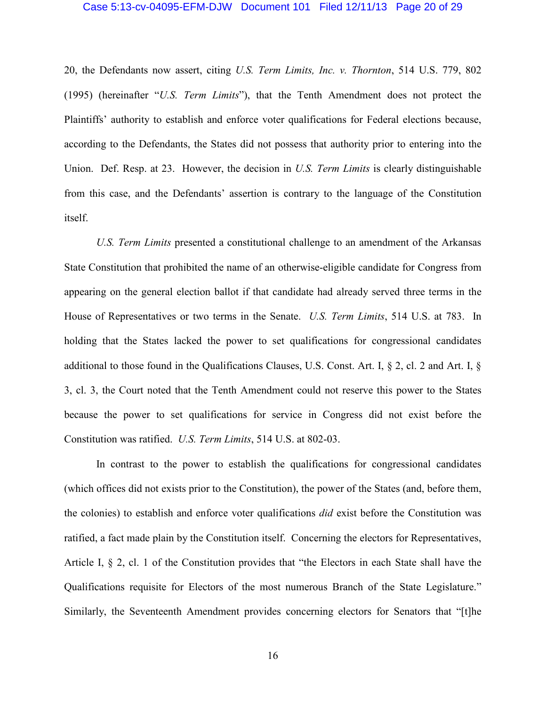#### Case 5:13-cv-04095-EFM-DJW Document 101 Filed 12/11/13 Page 20 of 29

20, the Defendants now assert, citing *U.S. Term Limits, Inc. v. Thornton*, 514 U.S. 779, 802 (1995) (hereinafter "*U.S. Term Limits*"), that the Tenth Amendment does not protect the Plaintiffs' authority to establish and enforce voter qualifications for Federal elections because, according to the Defendants, the States did not possess that authority prior to entering into the Union. Def. Resp. at 23. However, the decision in *U.S. Term Limits* is clearly distinguishable from this case, and the Defendants' assertion is contrary to the language of the Constitution itself.

*U.S. Term Limits* presented a constitutional challenge to an amendment of the Arkansas State Constitution that prohibited the name of an otherwise-eligible candidate for Congress from appearing on the general election ballot if that candidate had already served three terms in the House of Representatives or two terms in the Senate. *U.S. Term Limits*, 514 U.S. at 783. In holding that the States lacked the power to set qualifications for congressional candidates additional to those found in the Qualifications Clauses, U.S. Const. Art. I, § 2, cl. 2 and Art. I, § 3, cl. 3, the Court noted that the Tenth Amendment could not reserve this power to the States because the power to set qualifications for service in Congress did not exist before the Constitution was ratified. *U.S. Term Limits*, 514 U.S. at 802-03.

In contrast to the power to establish the qualifications for congressional candidates (which offices did not exists prior to the Constitution), the power of the States (and, before them, the colonies) to establish and enforce voter qualifications *did* exist before the Constitution was ratified, a fact made plain by the Constitution itself. Concerning the electors for Representatives, Article I, § 2, cl. 1 of the Constitution provides that "the Electors in each State shall have the Qualifications requisite for Electors of the most numerous Branch of the State Legislature." Similarly, the Seventeenth Amendment provides concerning electors for Senators that "[t]he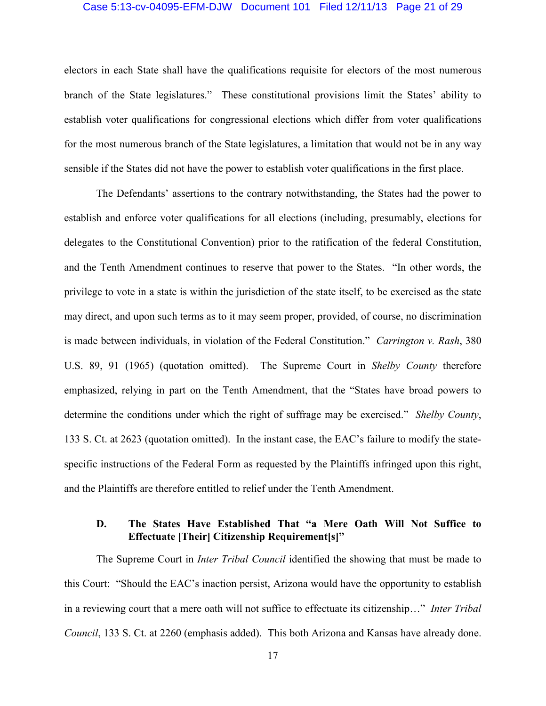### Case 5:13-cv-04095-EFM-DJW Document 101 Filed 12/11/13 Page 21 of 29

electors in each State shall have the qualifications requisite for electors of the most numerous branch of the State legislatures." These constitutional provisions limit the States' ability to establish voter qualifications for congressional elections which differ from voter qualifications for the most numerous branch of the State legislatures, a limitation that would not be in any way sensible if the States did not have the power to establish voter qualifications in the first place.

The Defendants' assertions to the contrary notwithstanding, the States had the power to establish and enforce voter qualifications for all elections (including, presumably, elections for delegates to the Constitutional Convention) prior to the ratification of the federal Constitution, and the Tenth Amendment continues to reserve that power to the States. "In other words, the privilege to vote in a state is within the jurisdiction of the state itself, to be exercised as the state may direct, and upon such terms as to it may seem proper, provided, of course, no discrimination is made between individuals, in violation of the Federal Constitution." *Carrington v. Rash*, 380 U.S. 89, 91 (1965) (quotation omitted). The Supreme Court in *Shelby County* therefore emphasized, relying in part on the Tenth Amendment, that the "States have broad powers to determine the conditions under which the right of suffrage may be exercised." *Shelby County*, 133 S. Ct. at 2623 (quotation omitted). In the instant case, the EAC's failure to modify the statespecific instructions of the Federal Form as requested by the Plaintiffs infringed upon this right, and the Plaintiffs are therefore entitled to relief under the Tenth Amendment.

# **D. The States Have Established That "a Mere Oath Will Not Suffice to Effectuate [Their] Citizenship Requirement[s]"**

The Supreme Court in *Inter Tribal Council* identified the showing that must be made to this Court: "Should the EAC's inaction persist, Arizona would have the opportunity to establish in a reviewing court that a mere oath will not suffice to effectuate its citizenship…" *Inter Tribal Council*, 133 S. Ct. at 2260 (emphasis added). This both Arizona and Kansas have already done.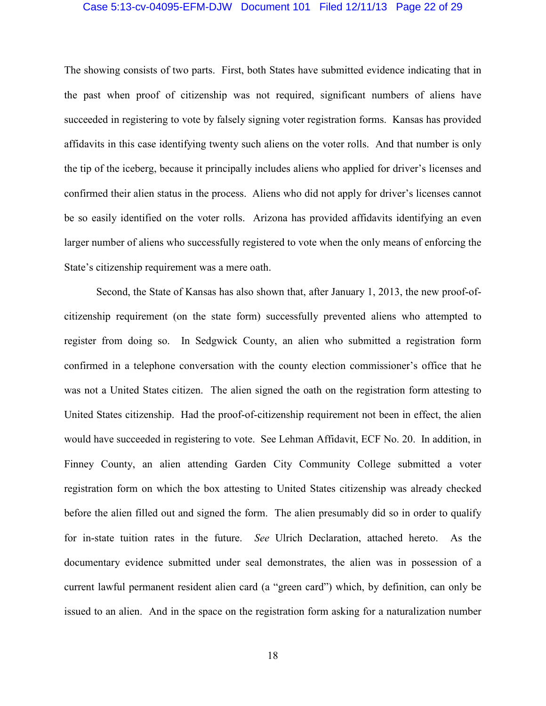### Case 5:13-cv-04095-EFM-DJW Document 101 Filed 12/11/13 Page 22 of 29

The showing consists of two parts. First, both States have submitted evidence indicating that in the past when proof of citizenship was not required, significant numbers of aliens have succeeded in registering to vote by falsely signing voter registration forms. Kansas has provided affidavits in this case identifying twenty such aliens on the voter rolls. And that number is only the tip of the iceberg, because it principally includes aliens who applied for driver's licenses and confirmed their alien status in the process. Aliens who did not apply for driver's licenses cannot be so easily identified on the voter rolls. Arizona has provided affidavits identifying an even larger number of aliens who successfully registered to vote when the only means of enforcing the State's citizenship requirement was a mere oath.

Second, the State of Kansas has also shown that, after January 1, 2013, the new proof-ofcitizenship requirement (on the state form) successfully prevented aliens who attempted to register from doing so. In Sedgwick County, an alien who submitted a registration form confirmed in a telephone conversation with the county election commissioner's office that he was not a United States citizen. The alien signed the oath on the registration form attesting to United States citizenship. Had the proof-of-citizenship requirement not been in effect, the alien would have succeeded in registering to vote. See Lehman Affidavit, ECF No. 20. In addition, in Finney County, an alien attending Garden City Community College submitted a voter registration form on which the box attesting to United States citizenship was already checked before the alien filled out and signed the form. The alien presumably did so in order to qualify for in-state tuition rates in the future. *See* Ulrich Declaration, attached hereto. As the documentary evidence submitted under seal demonstrates, the alien was in possession of a current lawful permanent resident alien card (a "green card") which, by definition, can only be issued to an alien. And in the space on the registration form asking for a naturalization number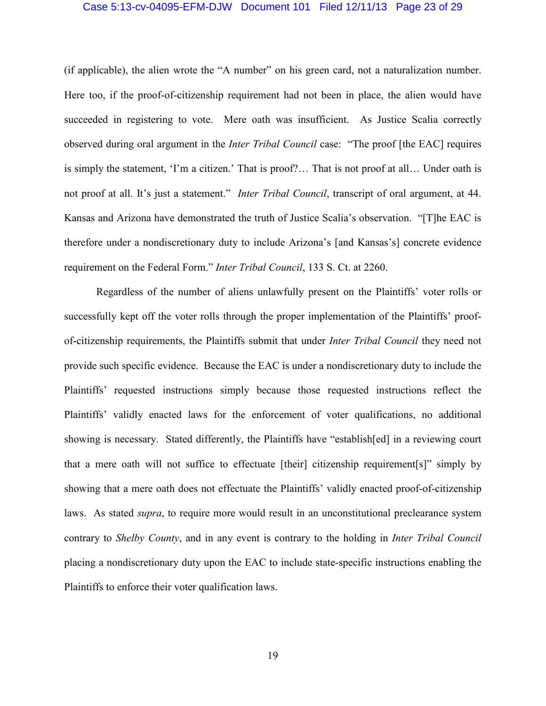### Case 5:13-cv-04095-EFM-DJW Document 101 Filed 12/11/13 Page 23 of 29

(if applicable), the alien wrote the "A number" on his green card, not a naturalization number. Here too, if the proof-of-citizenship requirement had not been in place, the alien would have succeeded in registering to vote. Mere oath was insufficient. As Justice Scalia correctly observed during oral argument in the *Inter Tribal Council* case: "The proof [the EAC] requires is simply the statement, 'I'm a citizen.' That is proof?… That is not proof at all… Under oath is not proof at all. It's just a statement." *Inter Tribal Council*, transcript of oral argument, at 44. Kansas and Arizona have demonstrated the truth of Justice Scalia's observation. "[T]he EAC is therefore under a nondiscretionary duty to include Arizona's [and Kansas's] concrete evidence requirement on the Federal Form." *Inter Tribal Council*, 133 S. Ct. at 2260.

Regardless of the number of aliens unlawfully present on the Plaintiffs' voter rolls or successfully kept off the voter rolls through the proper implementation of the Plaintiffs' proofof-citizenship requirements, the Plaintiffs submit that under *Inter Tribal Council* they need not provide such specific evidence. Because the EAC is under a nondiscretionary duty to include the Plaintiffs' requested instructions simply because those requested instructions reflect the Plaintiffs' validly enacted laws for the enforcement of voter qualifications, no additional showing is necessary. Stated differently, the Plaintiffs have "establish[ed] in a reviewing court that a mere oath will not suffice to effectuate [their] citizenship requirement[s]" simply by showing that a mere oath does not effectuate the Plaintiffs' validly enacted proof-of-citizenship laws. As stated *supra*, to require more would result in an unconstitutional preclearance system contrary to *Shelby County*, and in any event is contrary to the holding in *Inter Tribal Council* placing a nondiscretionary duty upon the EAC to include state-specific instructions enabling the Plaintiffs to enforce their voter qualification laws.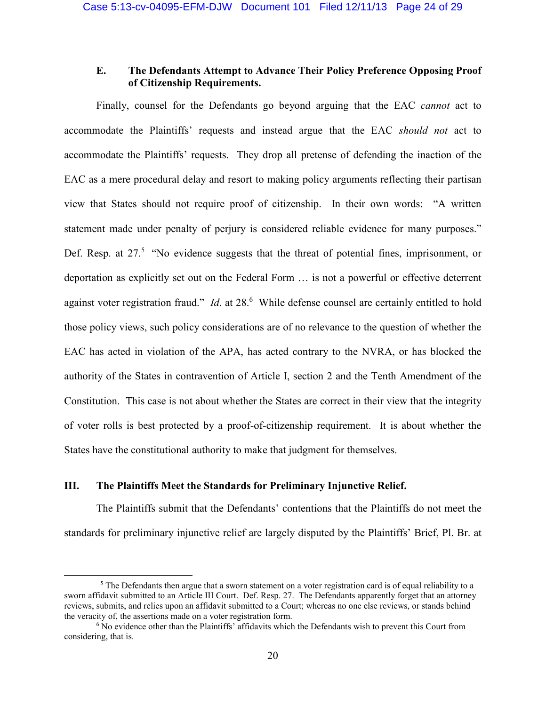# **E. The Defendants Attempt to Advance Their Policy Preference Opposing Proof of Citizenship Requirements.**

Finally, counsel for the Defendants go beyond arguing that the EAC *cannot* act to accommodate the Plaintiffs' requests and instead argue that the EAC *should not* act to accommodate the Plaintiffs' requests. They drop all pretense of defending the inaction of the EAC as a mere procedural delay and resort to making policy arguments reflecting their partisan view that States should not require proof of citizenship. In their own words: "A written statement made under penalty of perjury is considered reliable evidence for many purposes." Def. Resp. at 27.<sup>5</sup> "No evidence suggests that the threat of potential fines, imprisonment, or deportation as explicitly set out on the Federal Form … is not a powerful or effective deterrent against voter registration fraud." *Id*. at 28.<sup>6</sup> While defense counsel are certainly entitled to hold those policy views, such policy considerations are of no relevance to the question of whether the EAC has acted in violation of the APA, has acted contrary to the NVRA, or has blocked the authority of the States in contravention of Article I, section 2 and the Tenth Amendment of the Constitution. This case is not about whether the States are correct in their view that the integrity of voter rolls is best protected by a proof-of-citizenship requirement. It is about whether the States have the constitutional authority to make that judgment for themselves.

# **III. The Plaintiffs Meet the Standards for Preliminary Injunctive Relief.**

 $\overline{a}$ 

The Plaintiffs submit that the Defendants' contentions that the Plaintiffs do not meet the standards for preliminary injunctive relief are largely disputed by the Plaintiffs' Brief, Pl. Br. at

<sup>&</sup>lt;sup>5</sup> The Defendants then argue that a sworn statement on a voter registration card is of equal reliability to a sworn affidavit submitted to an Article III Court. Def. Resp. 27. The Defendants apparently forget that an attorney reviews, submits, and relies upon an affidavit submitted to a Court; whereas no one else reviews, or stands behind the veracity of, the assertions made on a voter registration form.

<sup>&</sup>lt;sup>6</sup> No evidence other than the Plaintiffs' affidavits which the Defendants wish to prevent this Court from considering, that is.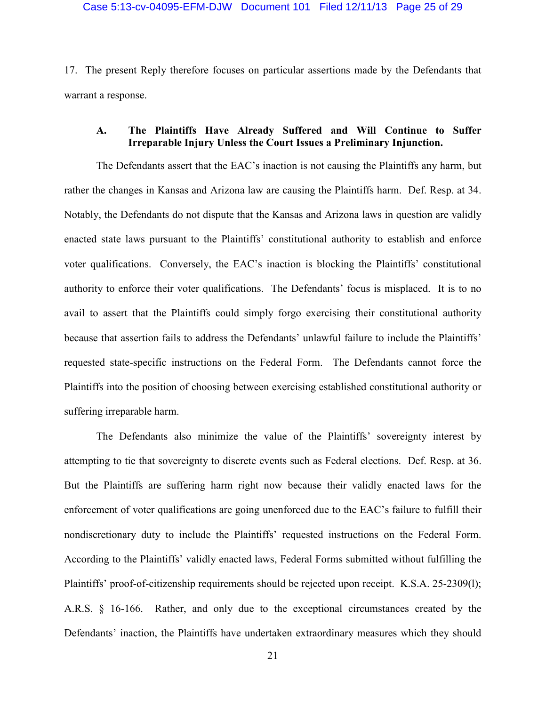17. The present Reply therefore focuses on particular assertions made by the Defendants that warrant a response.

# **A. The Plaintiffs Have Already Suffered and Will Continue to Suffer Irreparable Injury Unless the Court Issues a Preliminary Injunction.**

The Defendants assert that the EAC's inaction is not causing the Plaintiffs any harm, but rather the changes in Kansas and Arizona law are causing the Plaintiffs harm. Def. Resp. at 34. Notably, the Defendants do not dispute that the Kansas and Arizona laws in question are validly enacted state laws pursuant to the Plaintiffs' constitutional authority to establish and enforce voter qualifications. Conversely, the EAC's inaction is blocking the Plaintiffs' constitutional authority to enforce their voter qualifications. The Defendants' focus is misplaced. It is to no avail to assert that the Plaintiffs could simply forgo exercising their constitutional authority because that assertion fails to address the Defendants' unlawful failure to include the Plaintiffs' requested state-specific instructions on the Federal Form. The Defendants cannot force the Plaintiffs into the position of choosing between exercising established constitutional authority or suffering irreparable harm.

The Defendants also minimize the value of the Plaintiffs' sovereignty interest by attempting to tie that sovereignty to discrete events such as Federal elections. Def. Resp. at 36. But the Plaintiffs are suffering harm right now because their validly enacted laws for the enforcement of voter qualifications are going unenforced due to the EAC's failure to fulfill their nondiscretionary duty to include the Plaintiffs' requested instructions on the Federal Form. According to the Plaintiffs' validly enacted laws, Federal Forms submitted without fulfilling the Plaintiffs' proof-of-citizenship requirements should be rejected upon receipt. K.S.A. 25-2309(l); A.R.S. § 16-166. Rather, and only due to the exceptional circumstances created by the Defendants' inaction, the Plaintiffs have undertaken extraordinary measures which they should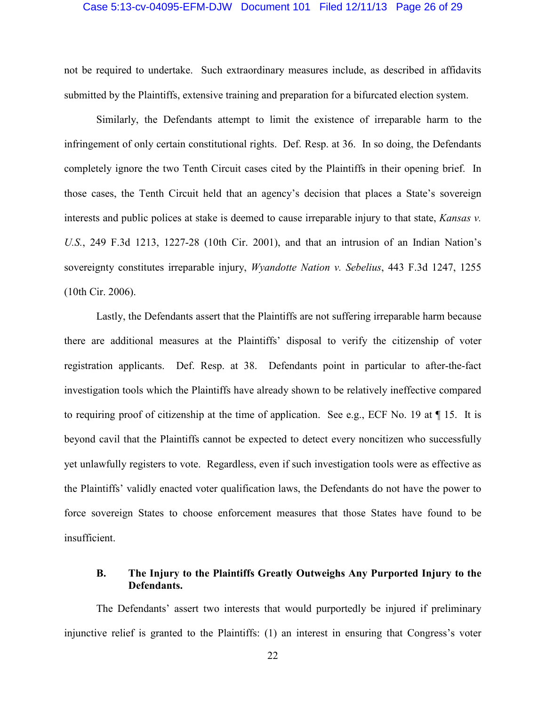### Case 5:13-cv-04095-EFM-DJW Document 101 Filed 12/11/13 Page 26 of 29

not be required to undertake. Such extraordinary measures include, as described in affidavits submitted by the Plaintiffs, extensive training and preparation for a bifurcated election system.

Similarly, the Defendants attempt to limit the existence of irreparable harm to the infringement of only certain constitutional rights. Def. Resp. at 36. In so doing, the Defendants completely ignore the two Tenth Circuit cases cited by the Plaintiffs in their opening brief. In those cases, the Tenth Circuit held that an agency's decision that places a State's sovereign interests and public polices at stake is deemed to cause irreparable injury to that state, *Kansas v. U.S.*, 249 F.3d 1213, 1227-28 (10th Cir. 2001), and that an intrusion of an Indian Nation's sovereignty constitutes irreparable injury, *Wyandotte Nation v. Sebelius*, 443 F.3d 1247, 1255 (10th Cir. 2006).

Lastly, the Defendants assert that the Plaintiffs are not suffering irreparable harm because there are additional measures at the Plaintiffs' disposal to verify the citizenship of voter registration applicants. Def. Resp. at 38. Defendants point in particular to after-the-fact investigation tools which the Plaintiffs have already shown to be relatively ineffective compared to requiring proof of citizenship at the time of application. See e.g., ECF No. 19 at  $\P$  15. It is beyond cavil that the Plaintiffs cannot be expected to detect every noncitizen who successfully yet unlawfully registers to vote. Regardless, even if such investigation tools were as effective as the Plaintiffs' validly enacted voter qualification laws, the Defendants do not have the power to force sovereign States to choose enforcement measures that those States have found to be insufficient.

# **B. The Injury to the Plaintiffs Greatly Outweighs Any Purported Injury to the Defendants.**

The Defendants' assert two interests that would purportedly be injured if preliminary injunctive relief is granted to the Plaintiffs: (1) an interest in ensuring that Congress's voter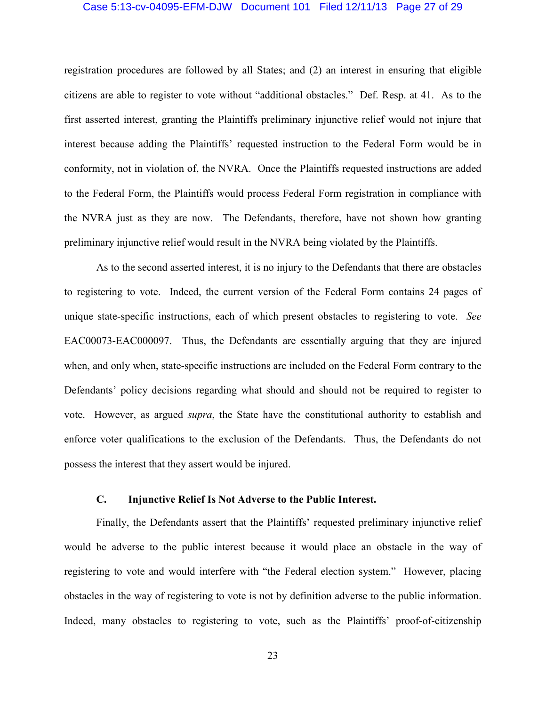### Case 5:13-cv-04095-EFM-DJW Document 101 Filed 12/11/13 Page 27 of 29

registration procedures are followed by all States; and (2) an interest in ensuring that eligible citizens are able to register to vote without "additional obstacles." Def. Resp. at 41. As to the first asserted interest, granting the Plaintiffs preliminary injunctive relief would not injure that interest because adding the Plaintiffs' requested instruction to the Federal Form would be in conformity, not in violation of, the NVRA. Once the Plaintiffs requested instructions are added to the Federal Form, the Plaintiffs would process Federal Form registration in compliance with the NVRA just as they are now. The Defendants, therefore, have not shown how granting preliminary injunctive relief would result in the NVRA being violated by the Plaintiffs.

As to the second asserted interest, it is no injury to the Defendants that there are obstacles to registering to vote. Indeed, the current version of the Federal Form contains 24 pages of unique state-specific instructions, each of which present obstacles to registering to vote. *See* EAC00073-EAC000097. Thus, the Defendants are essentially arguing that they are injured when, and only when, state-specific instructions are included on the Federal Form contrary to the Defendants' policy decisions regarding what should and should not be required to register to vote. However, as argued *supra*, the State have the constitutional authority to establish and enforce voter qualifications to the exclusion of the Defendants. Thus, the Defendants do not possess the interest that they assert would be injured.

# **C. Injunctive Relief Is Not Adverse to the Public Interest.**

Finally, the Defendants assert that the Plaintiffs' requested preliminary injunctive relief would be adverse to the public interest because it would place an obstacle in the way of registering to vote and would interfere with "the Federal election system." However, placing obstacles in the way of registering to vote is not by definition adverse to the public information. Indeed, many obstacles to registering to vote, such as the Plaintiffs' proof-of-citizenship

23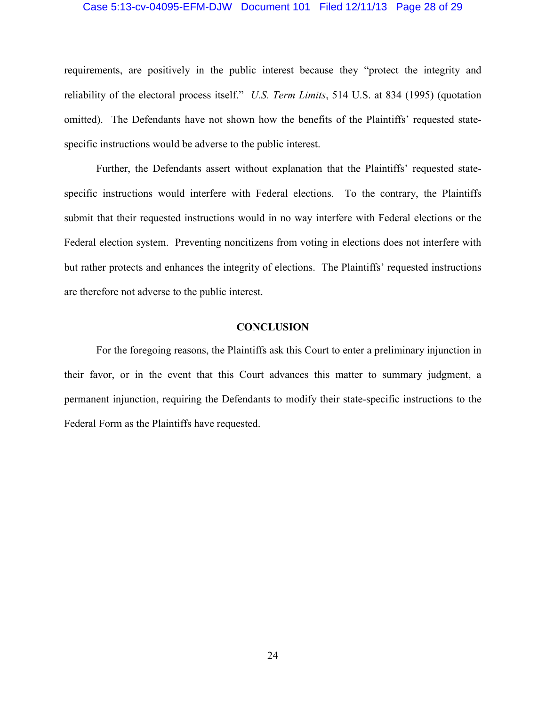#### Case 5:13-cv-04095-EFM-DJW Document 101 Filed 12/11/13 Page 28 of 29

requirements, are positively in the public interest because they "protect the integrity and reliability of the electoral process itself." *U.S. Term Limits*, 514 U.S. at 834 (1995) (quotation omitted). The Defendants have not shown how the benefits of the Plaintiffs' requested statespecific instructions would be adverse to the public interest.

Further, the Defendants assert without explanation that the Plaintiffs' requested statespecific instructions would interfere with Federal elections. To the contrary, the Plaintiffs submit that their requested instructions would in no way interfere with Federal elections or the Federal election system. Preventing noncitizens from voting in elections does not interfere with but rather protects and enhances the integrity of elections. The Plaintiffs' requested instructions are therefore not adverse to the public interest.

### **CONCLUSION**

For the foregoing reasons, the Plaintiffs ask this Court to enter a preliminary injunction in their favor, or in the event that this Court advances this matter to summary judgment, a permanent injunction, requiring the Defendants to modify their state-specific instructions to the Federal Form as the Plaintiffs have requested.